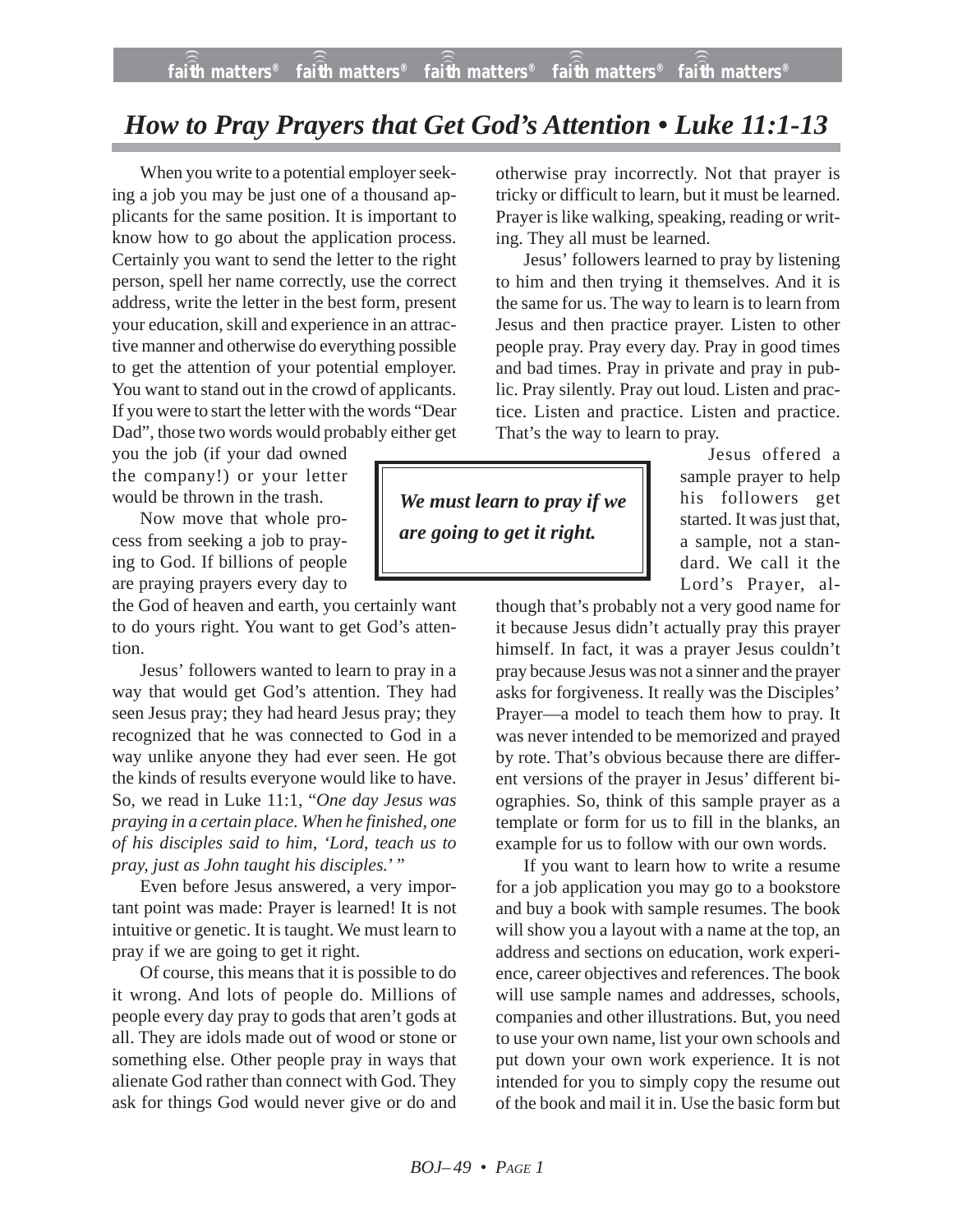*BOJ– 49 • PAGE 1*

## *How to Pray Prayers that Get God's Attention • Luke 11:1-13*

When you write to a potential employer seeking a job you may be just one of a thousand applicants for the same position. It is important to know how to go about the application process. Certainly you want to send the letter to the right person, spell her name correctly, use the correct address, write the letter in the best form, present your education, skill and experience in an attractive manner and otherwise do everything possible to get the attention of your potential employer. You want to stand out in the crowd of applicants. If you were to start the letter with the words "Dear Dad", those two words would probably either get

you the job (if your dad owned the company!) or your letter would be thrown in the trash.

Now move that whole process from seeking a job to praying to God. If billions of people are praying prayers every day to

the God of heaven and earth, you certainly want to do yours right. You want to get God's attention.

Jesus' followers wanted to learn to pray in a way that would get God's attention. They had seen Jesus pray; they had heard Jesus pray; they recognized that he was connected to God in a way unlike anyone they had ever seen. He got the kinds of results everyone would like to have. So, we read in Luke 11:1, "*One day Jesus was praying in a certain place. When he finished, one of his disciples said to him, 'Lord, teach us to pray, just as John taught his disciples.*' "

Even before Jesus answered, a very important point was made: Prayer is learned! It is not intuitive or genetic. It is taught. We must learn to pray if we are going to get it right.

Of course, this means that it is possible to do it wrong. And lots of people do. Millions of people every day pray to gods that aren't gods at all. They are idols made out of wood or stone or something else. Other people pray in ways that alienate God rather than connect with God. They ask for things God would never give or do and

otherwise pray incorrectly. Not that prayer is tricky or difficult to learn, but it must be learned. Prayer is like walking, speaking, reading or writing. They all must be learned.

Jesus' followers learned to pray by listening to him and then trying it themselves. And it is the same for us. The way to learn is to learn from Jesus and then practice prayer. Listen to other people pray. Pray every day. Pray in good times and bad times. Pray in private and pray in public. Pray silently. Pray out loud. Listen and practice. Listen and practice. Listen and practice. That's the way to learn to pray.

*We must learn to pray if we are going to get it right.*

Jesus offered a sample prayer to help his followers get started. It was just that, a sample, not a standard. We call it the Lord's Prayer, al-

though that's probably not a very good name for it because Jesus didn't actually pray this prayer himself. In fact, it was a prayer Jesus couldn't pray because Jesus was not a sinner and the prayer asks for forgiveness. It really was the Disciples' Prayer—a model to teach them how to pray. It was never intended to be memorized and prayed by rote. That's obvious because there are different versions of the prayer in Jesus' different biographies. So, think of this sample prayer as a template or form for us to fill in the blanks, an example for us to follow with our own words.

If you want to learn how to write a resume for a job application you may go to a bookstore and buy a book with sample resumes. The book will show you a layout with a name at the top, an address and sections on education, work experience, career objectives and references. The book will use sample names and addresses, schools, companies and other illustrations. But, you need to use your own name, list your own schools and put down your own work experience. It is not intended for you to simply copy the resume out of the book and mail it in. Use the basic form but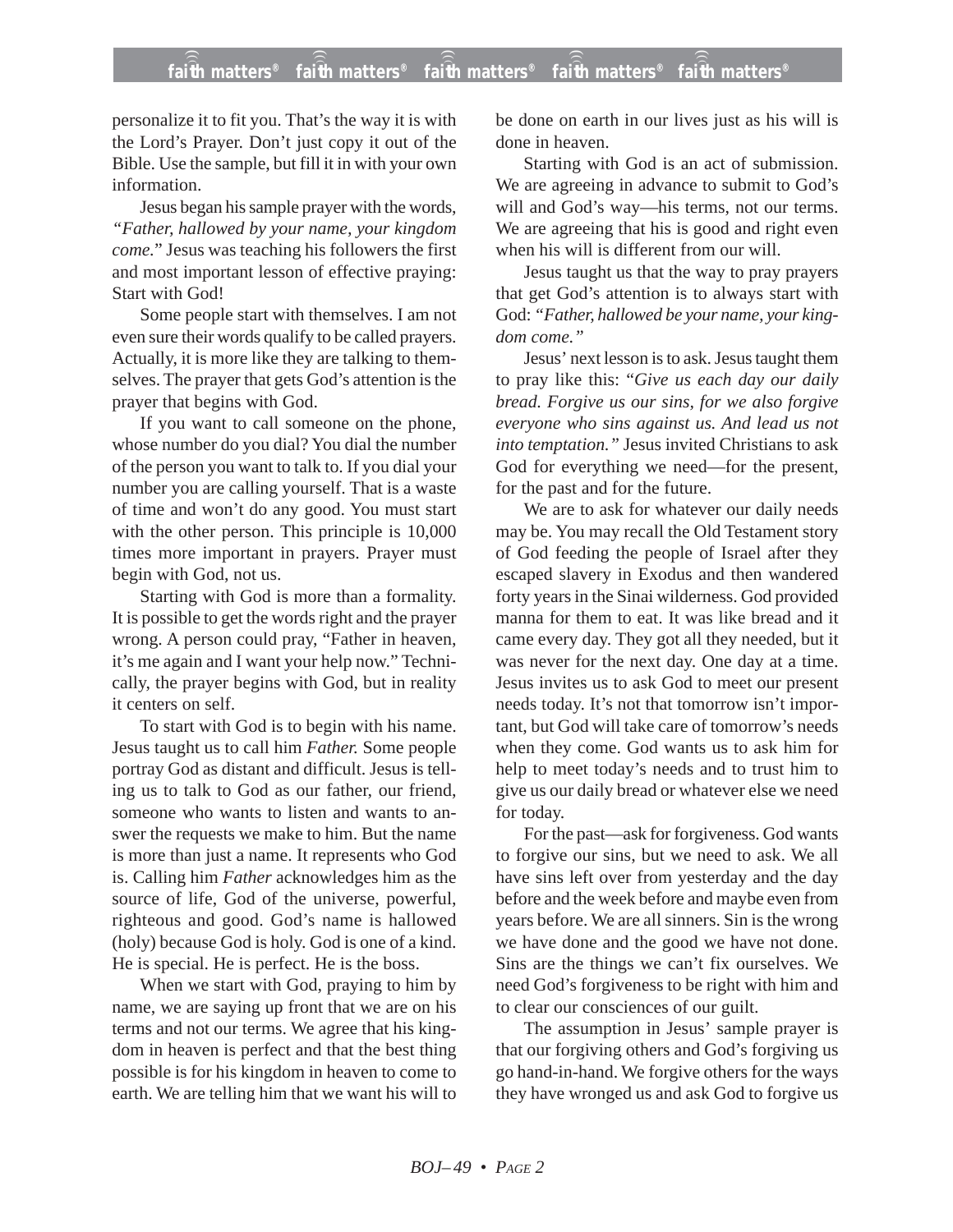personalize it to fit you. That's the way it is with the Lord's Prayer. Don't just copy it out of the Bible. Use the sample, but fill it in with your own information.

Jesus began his sample prayer with the words, *"Father, hallowed by your name, your kingdom come.*" Jesus was teaching his followers the first and most important lesson of effective praying: Start with God!

Some people start with themselves. I am not even sure their words qualify to be called prayers. Actually, it is more like they are talking to themselves. The prayer that gets God's attention is the prayer that begins with God.

If you want to call someone on the phone, whose number do you dial? You dial the number of the person you want to talk to. If you dial your number you are calling yourself. That is a waste of time and won't do any good. You must start with the other person. This principle is 10,000 times more important in prayers. Prayer must begin with God, not us.

Starting with God is more than a formality. It is possible to get the words right and the prayer wrong. A person could pray, "Father in heaven, it's me again and I want your help now." Technically, the prayer begins with God, but in reality it centers on self.

To start with God is to begin with his name. Jesus taught us to call him *Father.* Some people portray God as distant and difficult. Jesus is telling us to talk to God as our father, our friend, someone who wants to listen and wants to answer the requests we make to him. But the name is more than just a name. It represents who God is. Calling him *Father* acknowledges him as the source of life, God of the universe, powerful, righteous and good. God's name is hallowed (holy) because God is holy. God is one of a kind. He is special. He is perfect. He is the boss.

When we start with God, praying to him by name, we are saying up front that we are on his terms and not our terms. We agree that his kingdom in heaven is perfect and that the best thing possible is for his kingdom in heaven to come to earth. We are telling him that we want his will to be done on earth in our lives just as his will is done in heaven.

Starting with God is an act of submission. We are agreeing in advance to submit to God's will and God's way—his terms, not our terms. We are agreeing that his is good and right even when his will is different from our will.

Jesus taught us that the way to pray prayers that get God's attention is to always start with God: *"Father, hallowed be your name, your kingdom come."*

Jesus' next lesson is to ask. Jesus taught them to pray like this: "*Give us each day our daily bread. Forgive us our sins, for we also forgive everyone who sins against us. And lead us not into temptation."* Jesus invited Christians to ask God for everything we need—for the present, for the past and for the future.

We are to ask for whatever our daily needs may be. You may recall the Old Testament story of God feeding the people of Israel after they escaped slavery in Exodus and then wandered forty years in the Sinai wilderness. God provided manna for them to eat. It was like bread and it came every day. They got all they needed, but it was never for the next day. One day at a time. Jesus invites us to ask God to meet our present needs today. It's not that tomorrow isn't important, but God will take care of tomorrow's needs when they come. God wants us to ask him for help to meet today's needs and to trust him to give us our daily bread or whatever else we need for today.

For the past—ask for forgiveness. God wants to forgive our sins, but we need to ask. We all have sins left over from yesterday and the day before and the week before and maybe even from years before. We are all sinners. Sin is the wrong we have done and the good we have not done. Sins are the things we can't fix ourselves. We need God's forgiveness to be right with him and to clear our consciences of our guilt.

The assumption in Jesus' sample prayer is that our forgiving others and God's forgiving us go hand-in-hand. We forgive others for the ways they have wronged us and ask God to forgive us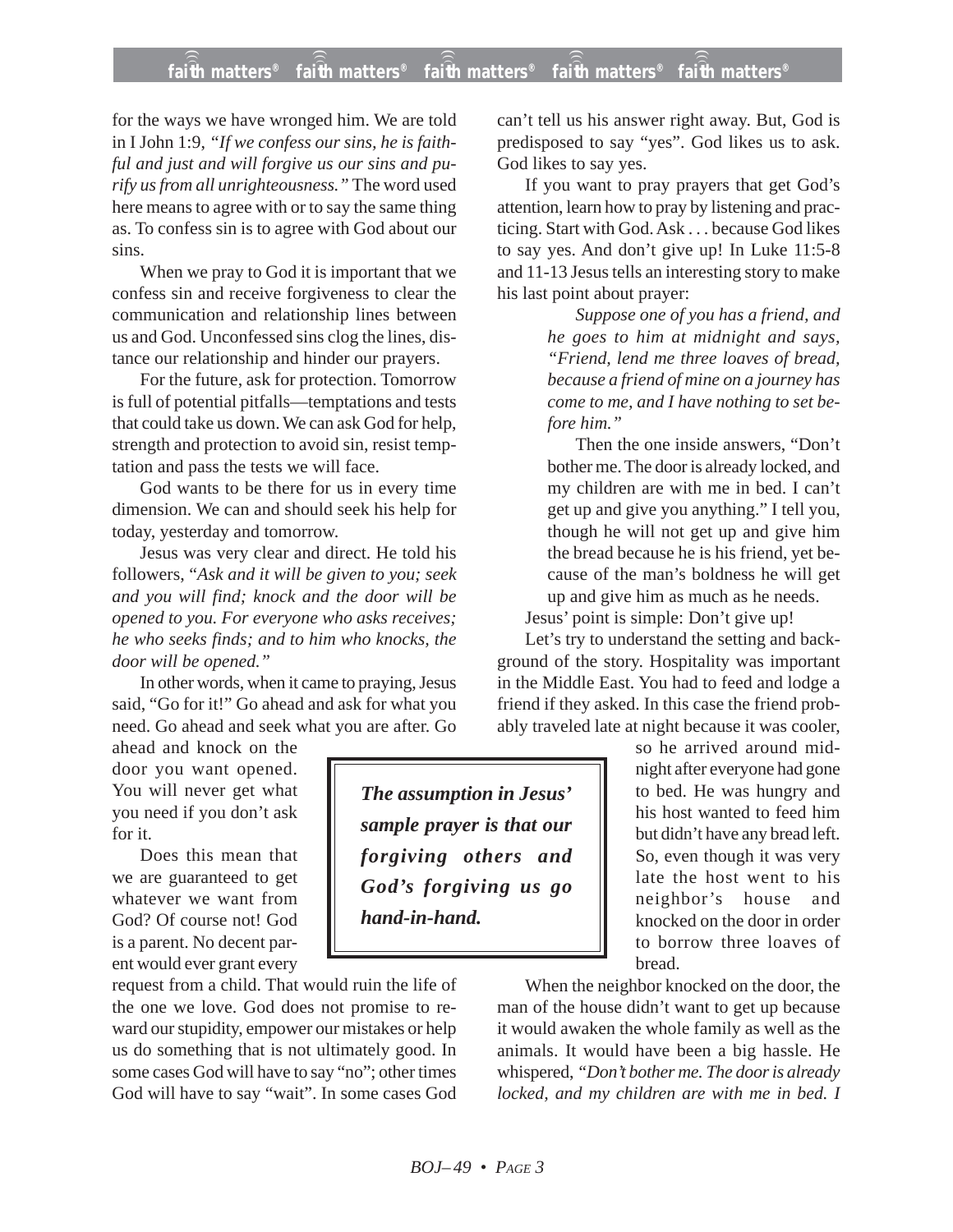## **faith matters® faith matters® faith matters® faith matters® faith matters®** ))) ))) ))) ))) )))

for the ways we have wronged him. We are told in I John 1:9, *"If we confess our sins, he is faithful and just and will forgive us our sins and purify us from all unrighteousness."* The word used here means to agree with or to say the same thing as. To confess sin is to agree with God about our sins.

When we pray to God it is important that we confess sin and receive forgiveness to clear the communication and relationship lines between us and God. Unconfessed sins clog the lines, distance our relationship and hinder our prayers.

For the future, ask for protection. Tomorrow is full of potential pitfalls—temptations and tests that could take us down. We can ask God for help, strength and protection to avoid sin, resist temptation and pass the tests we will face.

God wants to be there for us in every time dimension. We can and should seek his help for today, yesterday and tomorrow.

Jesus was very clear and direct. He told his followers, "*Ask and it will be given to you; seek and you will find; knock and the door will be opened to you. For everyone who asks receives; he who seeks finds; and to him who knocks, the door will be opened."*

In other words, when it came to praying, Jesus said, "Go for it!" Go ahead and ask for what you need. Go ahead and seek what you are after. Go

ahead and knock on the door you want opened. You will never get what you need if you don't ask for it.

Does this mean that we are guaranteed to get whatever we want from God? Of course not! God is a parent. No decent parent would ever grant every

request from a child. That would ruin the life of the one we love. God does not promise to reward our stupidity, empower our mistakes or help us do something that is not ultimately good. In some cases God will have to say "no"; other times God will have to say "wait". In some cases God

can't tell us his answer right away. But, God is predisposed to say "yes". God likes us to ask. God likes to say yes.

If you want to pray prayers that get God's attention, learn how to pray by listening and practicing. Start with God. Ask . . . because God likes to say yes. And don't give up! In Luke 11:5-8 and 11-13 Jesus tells an interesting story to make his last point about prayer:

> *Suppose one of you has a friend, and he goes to him at midnight and says, "Friend, lend me three loaves of bread, because a friend of mine on a journey has come to me, and I have nothing to set before him."*

> Then the one inside answers, "Don't bother me. The door is already locked, and my children are with me in bed. I can't get up and give you anything." I tell you, though he will not get up and give him the bread because he is his friend, yet because of the man's boldness he will get up and give him as much as he needs.

Jesus' point is simple: Don't give up!

Let's try to understand the setting and background of the story. Hospitality was important in the Middle East. You had to feed and lodge a friend if they asked. In this case the friend probably traveled late at night because it was cooler,

> so he arrived around midnight after everyone had gone to bed. He was hungry and his host wanted to feed him but didn't have any bread left. So, even though it was very late the host went to his neighbor's house and knocked on the door in order to borrow three loaves of bread.

When the neighbor knocked on the door, the man of the house didn't want to get up because it would awaken the whole family as well as the animals. It would have been a big hassle. He whispered, *"Don't bother me. The door is already locked, and my children are with me in bed. I*

*The assumption in Jesus' sample prayer is that our forgiving others and God's forgiving us go hand-in-hand.*